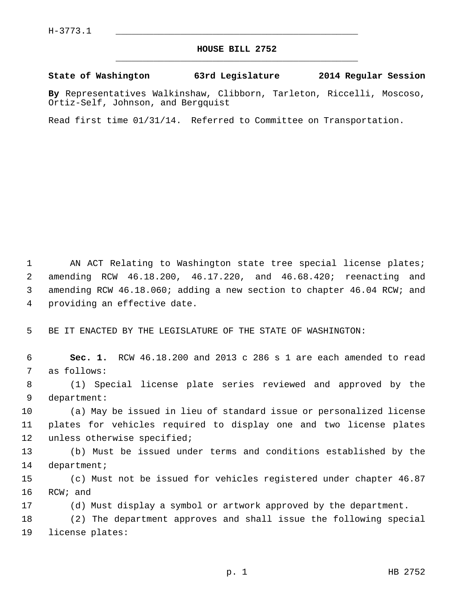## **HOUSE BILL 2752** \_\_\_\_\_\_\_\_\_\_\_\_\_\_\_\_\_\_\_\_\_\_\_\_\_\_\_\_\_\_\_\_\_\_\_\_\_\_\_\_\_\_\_\_\_

## **State of Washington 63rd Legislature 2014 Regular Session**

**By** Representatives Walkinshaw, Clibborn, Tarleton, Riccelli, Moscoso, Ortiz-Self, Johnson, and Bergquist

Read first time 01/31/14. Referred to Committee on Transportation.

 1 AN ACT Relating to Washington state tree special license plates; 2 amending RCW 46.18.200, 46.17.220, and 46.68.420; reenacting and 3 amending RCW 46.18.060; adding a new section to chapter 46.04 RCW; and 4 providing an effective date.

5 BE IT ENACTED BY THE LEGISLATURE OF THE STATE OF WASHINGTON:

 6 **Sec. 1.** RCW 46.18.200 and 2013 c 286 s 1 are each amended to read 7 as follows:

 8 (1) Special license plate series reviewed and approved by the 9 department:

10 (a) May be issued in lieu of standard issue or personalized license 11 plates for vehicles required to display one and two license plates 12 unless otherwise specified;

13 (b) Must be issued under terms and conditions established by the 14 department;

15 (c) Must not be issued for vehicles registered under chapter 46.87 16 RCW; and

17 (d) Must display a symbol or artwork approved by the department.

18 (2) The department approves and shall issue the following special 19 license plates: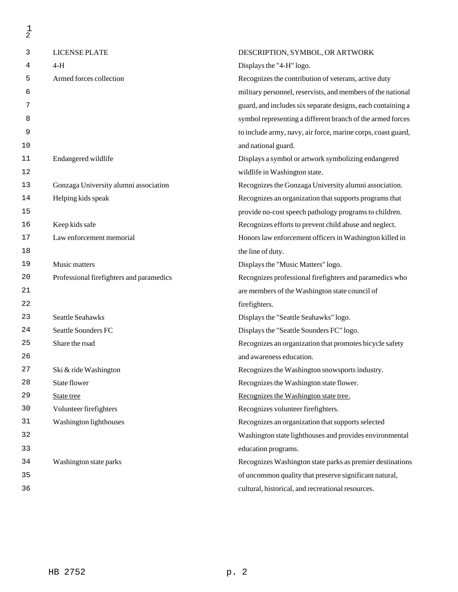| $\frac{1}{2}$ |                                          |                                                              |
|---------------|------------------------------------------|--------------------------------------------------------------|
| 3             | LICENSE PLATE                            | DESCRIPTION, SYMBOL, OR ARTWORK                              |
| 4             | $4-H$                                    | Displays the "4-H" logo.                                     |
| 5             | Armed forces collection                  | Recognizes the contribution of veterans, active duty         |
| 6             |                                          | military personnel, reservists, and members of the national  |
| 7             |                                          | guard, and includes six separate designs, each containing a  |
| 8             |                                          | symbol representing a different branch of the armed forces   |
| 9             |                                          | to include army, navy, air force, marine corps, coast guard, |
| 10            |                                          | and national guard.                                          |
| 11            | Endangered wildlife                      | Displays a symbol or artwork symbolizing endangered          |
| 12            |                                          | wildlife in Washington state.                                |
| 13            | Gonzaga University alumni association    | Recognizes the Gonzaga University alumni association.        |
| 14            | Helping kids speak                       | Recognizes an organization that supports programs that       |
| 15            |                                          | provide no-cost speech pathology programs to children.       |
| 16            | Keep kids safe                           | Recognizes efforts to prevent child abuse and neglect.       |
| 17            | Law enforcement memorial                 | Honors law enforcement officers in Washington killed in      |
| 18            |                                          | the line of duty.                                            |
| 19            | Music matters                            | Displays the "Music Matters" logo.                           |
| 20            | Professional firefighters and paramedics | Recognizes professional firefighters and paramedics who      |
| 21            |                                          | are members of the Washington state council of               |
| 22            |                                          | firefighters.                                                |
| 23            | Seattle Seahawks                         | Displays the "Seattle Seahawks" logo.                        |
| 24            | Seattle Sounders FC                      | Displays the "Seattle Sounders FC" logo.                     |
| 25            | Share the road                           | Recognizes an organization that promotes bicycle safety      |
| 26            |                                          | and awareness education.                                     |
| 27            | Ski & ride Washington                    | Recognizes the Washington snowsports industry.               |
| 28            | State flower                             | Recognizes the Washington state flower.                      |
| 29            | State tree                               | Recognizes the Washington state tree.                        |
| 30            | Volunteer firefighters                   | Recognizes volunteer firefighters.                           |
| 31            | Washington lighthouses                   | Recognizes an organization that supports selected            |
| 32            |                                          | Washington state lighthouses and provides environmental      |
| 33            |                                          | education programs.                                          |
| 34            | Washington state parks                   | Recognizes Washington state parks as premier destinations    |
| 35            |                                          | of uncommon quality that preserve significant natural,       |

36

cultural, historical, and recreational resources.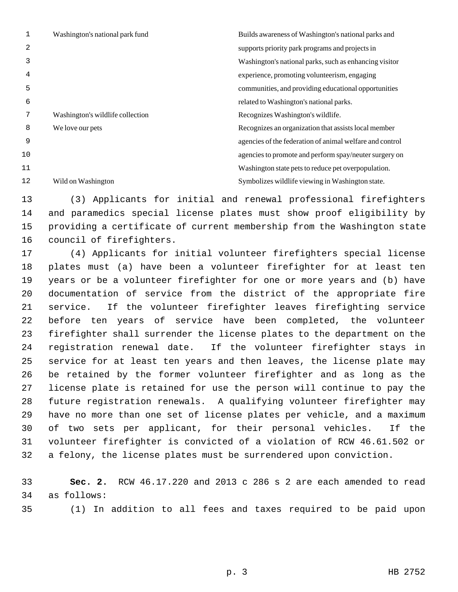|    | Washington's national park fund  | Builds awareness of Washington's national parks and      |
|----|----------------------------------|----------------------------------------------------------|
| 2  |                                  | supports priority park programs and projects in          |
| 3  |                                  | Washington's national parks, such as enhancing visitor   |
| 4  |                                  | experience, promoting volunteerism, engaging             |
| 5  |                                  | communities, and providing educational opportunities     |
| 6  |                                  | related to Washington's national parks.                  |
| 7  | Washington's wildlife collection | Recognizes Washington's wildlife.                        |
| 8  | We love our pets                 | Recognizes an organization that assists local member     |
| 9  |                                  | agencies of the federation of animal welfare and control |
| 10 |                                  | agencies to promote and perform spay/neuter surgery on   |
| 11 |                                  | Washington state pets to reduce pet overpopulation.      |
| 12 | Wild on Washington               | Symbolizes wildlife viewing in Washington state.         |

13 (3) Applicants for initial and renewal professional firefighters 14 and paramedics special license plates must show proof eligibility by 15 providing a certificate of current membership from the Washington state 16 council of firefighters.

17 (4) Applicants for initial volunteer firefighters special license 18 plates must (a) have been a volunteer firefighter for at least ten 19 years or be a volunteer firefighter for one or more years and (b) have 20 documentation of service from the district of the appropriate fire 21 service. If the volunteer firefighter leaves firefighting service 22 before ten years of service have been completed, the volunteer 23 firefighter shall surrender the license plates to the department on the 24 registration renewal date. If the volunteer firefighter stays in 25 service for at least ten years and then leaves, the license plate may 26 be retained by the former volunteer firefighter and as long as the 27 license plate is retained for use the person will continue to pay the 28 future registration renewals. A qualifying volunteer firefighter may 29 have no more than one set of license plates per vehicle, and a maximum 30 of two sets per applicant, for their personal vehicles. If the 31 volunteer firefighter is convicted of a violation of RCW 46.61.502 or 32 a felony, the license plates must be surrendered upon conviction.

33 **Sec. 2.** RCW 46.17.220 and 2013 c 286 s 2 are each amended to read 34 as follows:

35 (1) In addition to all fees and taxes required to be paid upon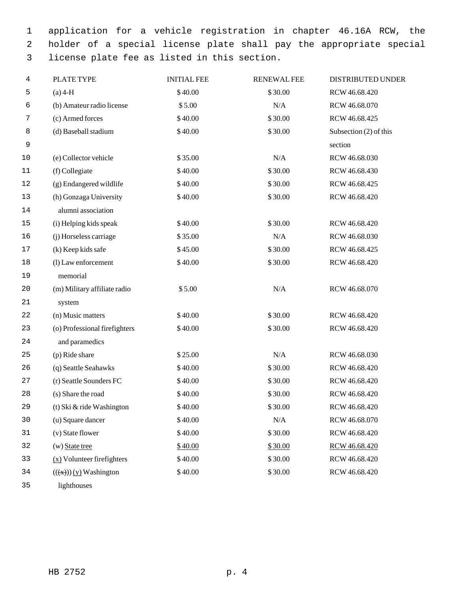1 application for a vehicle registration in chapter 46.16A RCW, the 2 holder of a special license plate shall pay the appropriate special 3 license plate fee as listed in this section.

| $(a)$ 4-H                       | \$40.00 | \$30.00   | RCW 46.68.420            |
|---------------------------------|---------|-----------|--------------------------|
| (b) Amateur radio license       | \$5.00  | N/A       | RCW 46.68.070            |
| (c) Armed forces                | \$40.00 | \$30.00   | RCW 46.68.425            |
| (d) Baseball stadium            | \$40.00 | \$30.00   | Subsection $(2)$ of this |
|                                 |         |           | section                  |
| (e) Collector vehicle           | \$35.00 | N/A       | RCW 46.68.030            |
| (f) Collegiate                  | \$40.00 | \$30.00   | RCW 46.68.430            |
| (g) Endangered wildlife         | \$40.00 | \$30.00   | RCW 46.68.425            |
| (h) Gonzaga University          | \$40.00 | \$30.00   | RCW 46.68.420            |
| alumni association              |         |           |                          |
| (i) Helping kids speak          | \$40.00 | \$30.00   | RCW 46.68.420            |
| (j) Horseless carriage          | \$35.00 | N/A       | RCW 46.68.030            |
| (k) Keep kids safe              | \$45.00 | \$30.00   | RCW 46.68.425            |
| (l) Law enforcement             | \$40.00 | \$30.00   | RCW 46.68.420            |
| memorial                        |         |           |                          |
| (m) Military affiliate radio    | \$5.00  | N/A       | RCW 46.68.070            |
| system                          |         |           |                          |
| (n) Music matters               | \$40.00 | \$30.00   | RCW 46.68.420            |
| (o) Professional firefighters   | \$40.00 | \$30.00   | RCW 46.68.420            |
| and paramedics                  |         |           |                          |
| (p) Ride share                  | \$25.00 | $\rm N/A$ | RCW 46.68.030            |
| (q) Seattle Seahawks            | \$40.00 | \$30.00   | RCW 46.68.420            |
| (r) Seattle Sounders FC         | \$40.00 | \$30.00   | RCW 46.68.420            |
| (s) Share the road              | \$40.00 | \$30.00   | RCW 46.68.420            |
| (t) Ski & ride Washington       | \$40.00 | \$30.00   | RCW 46.68.420            |
| (u) Square dancer               | \$40.00 | $\rm N/A$ | RCW 46.68.070            |
| (v) State flower                | \$40.00 | \$30.00   | RCW 46.68.420            |
| $(w)$ State tree                | \$40.00 | \$30.00   | RCW 46.68.420            |
| $(x)$ Volunteer firefighters    | \$40.00 | \$30.00   | RCW 46.68.420            |
| $((\text{(x)}))$ (y) Washington | \$40.00 | \$30.00   | RCW 46.68.420            |
| lighthouses                     |         |           |                          |
|                                 |         |           |                          |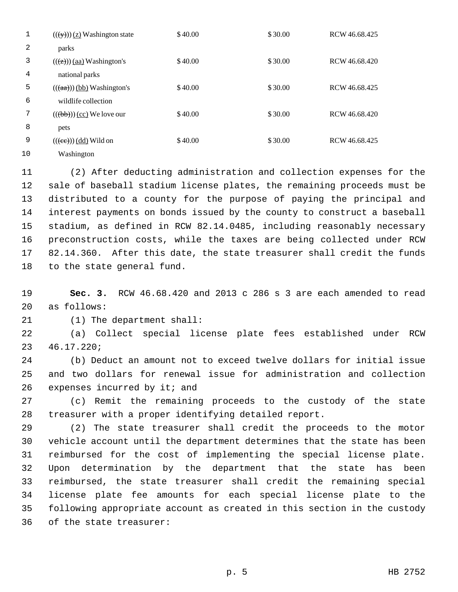|    | $((\forall y))$ (z) Washington state   | \$40.00 | \$30.00 | RCW 46.68.425 |
|----|----------------------------------------|---------|---------|---------------|
| 2  | parks                                  |         |         |               |
| 3  | $((\overline{(z)}))$ (aa) Washington's | \$40.00 | \$30.00 | RCW 46.68.420 |
| 4  | national parks                         |         |         |               |
| 5  | $((aa))$ (bb) Washington's             | \$40.00 | \$30.00 | RCW 46.68.425 |
| 6  | wildlife collection                    |         |         |               |
| 7  | $(((b))) (cc)$ We love our             | \$40.00 | \$30.00 | RCW 46.68.420 |
| 8  | pets                                   |         |         |               |
| 9  | $((\text{ (ee)}))$ (dd) Wild on        | \$40.00 | \$30.00 | RCW 46.68.425 |
| 10 | Washington                             |         |         |               |

11 (2) After deducting administration and collection expenses for the 12 sale of baseball stadium license plates, the remaining proceeds must be 13 distributed to a county for the purpose of paying the principal and 14 interest payments on bonds issued by the county to construct a baseball 15 stadium, as defined in RCW 82.14.0485, including reasonably necessary 16 preconstruction costs, while the taxes are being collected under RCW 17 82.14.360. After this date, the state treasurer shall credit the funds 18 to the state general fund.

19 **Sec. 3.** RCW 46.68.420 and 2013 c 286 s 3 are each amended to read 20 as follows:

21 (1) The department shall:

22 (a) Collect special license plate fees established under RCW 23 46.17.220;

24 (b) Deduct an amount not to exceed twelve dollars for initial issue 25 and two dollars for renewal issue for administration and collection 26 expenses incurred by it; and

27 (c) Remit the remaining proceeds to the custody of the state 28 treasurer with a proper identifying detailed report.

29 (2) The state treasurer shall credit the proceeds to the motor 30 vehicle account until the department determines that the state has been 31 reimbursed for the cost of implementing the special license plate. 32 Upon determination by the department that the state has been 33 reimbursed, the state treasurer shall credit the remaining special 34 license plate fee amounts for each special license plate to the 35 following appropriate account as created in this section in the custody 36 of the state treasurer: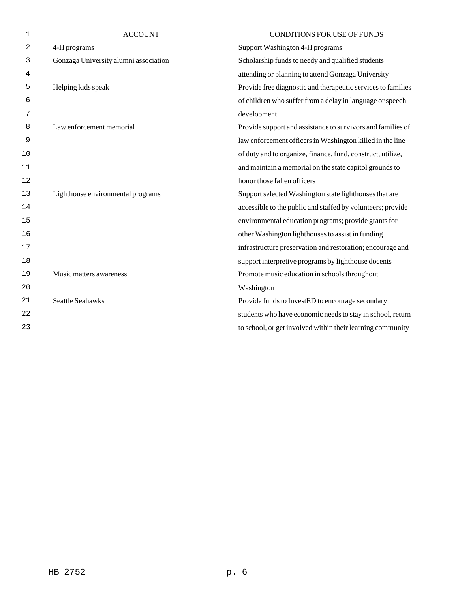| $\mathbf 1$    | <b>ACCOUNT</b>                        | <b>CONDITIONS FOR USE OF FUNDS</b>                           |
|----------------|---------------------------------------|--------------------------------------------------------------|
| $\overline{2}$ | 4-H programs                          | Support Washington 4-H programs                              |
| 3              | Gonzaga University alumni association | Scholarship funds to needy and qualified students            |
| 4              |                                       | attending or planning to attend Gonzaga University           |
| 5              | Helping kids speak                    | Provide free diagnostic and therapeutic services to families |
| 6              |                                       | of children who suffer from a delay in language or speech    |
| 7              |                                       | development                                                  |
| 8              | Law enforcement memorial              | Provide support and assistance to survivors and families of  |
| 9              |                                       | law enforcement officers in Washington killed in the line    |
| 10             |                                       | of duty and to organize, finance, fund, construct, utilize,  |
| 11             |                                       | and maintain a memorial on the state capitol grounds to      |
| 12             |                                       | honor those fallen officers                                  |
| 13             | Lighthouse environmental programs     | Support selected Washington state lighthouses that are       |
| 14             |                                       | accessible to the public and staffed by volunteers; provide  |
| 15             |                                       | environmental education programs; provide grants for         |
| 16             |                                       | other Washington lighthouses to assist in funding            |
| 17             |                                       | infrastructure preservation and restoration; encourage and   |
| 18             |                                       | support interpretive programs by lighthouse docents          |
| 19             | Music matters awareness               | Promote music education in schools throughout                |
| 20             |                                       | Washington                                                   |
| 21             | <b>Seattle Seahawks</b>               | Provide funds to InvestED to encourage secondary             |
| 22             |                                       | students who have economic needs to stay in school, return   |
| 23             |                                       | to school, or get involved within their learning community   |
|                |                                       |                                                              |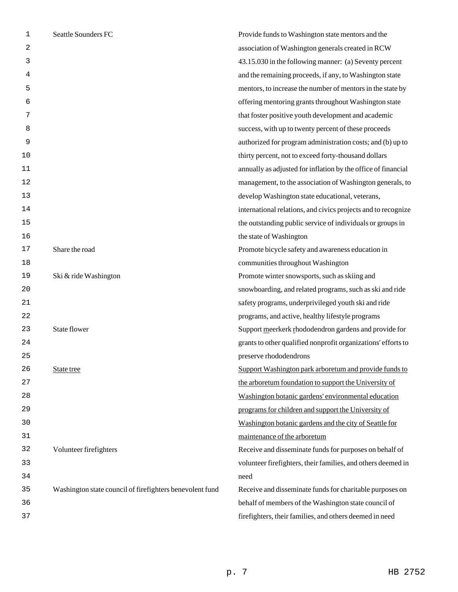| 1  | Seattle Sounders FC                                      | Provide funds to Washington state mentors and the             |
|----|----------------------------------------------------------|---------------------------------------------------------------|
| 2  |                                                          | association of Washington generals created in RCW             |
| 3  |                                                          | 43.15.030 in the following manner: (a) Seventy percent        |
| 4  |                                                          | and the remaining proceeds, if any, to Washington state       |
| 5  |                                                          | mentors, to increase the number of mentors in the state by    |
| 6  |                                                          | offering mentoring grants throughout Washington state         |
| 7  |                                                          | that foster positive youth development and academic           |
| 8  |                                                          | success, with up to twenty percent of these proceeds          |
| 9  |                                                          | authorized for program administration costs; and (b) up to    |
| 10 |                                                          | thirty percent, not to exceed forty-thousand dollars          |
| 11 |                                                          | annually as adjusted for inflation by the office of financial |
| 12 |                                                          | management, to the association of Washington generals, to     |
| 13 |                                                          | develop Washington state educational, veterans,               |
| 14 |                                                          | international relations, and civics projects and to recognize |
| 15 |                                                          | the outstanding public service of individuals or groups in    |
| 16 |                                                          | the state of Washington                                       |
| 17 | Share the road                                           | Promote bicycle safety and awareness education in             |
| 18 |                                                          | communities throughout Washington                             |
| 19 | Ski & ride Washington                                    | Promote winter snowsports, such as skiing and                 |
| 20 |                                                          | snowboarding, and related programs, such as ski and ride      |
| 21 |                                                          | safety programs, underprivileged youth ski and ride           |
| 22 |                                                          | programs, and active, healthy lifestyle programs              |
| 23 | State flower                                             | Support meerkerk rhododendron gardens and provide for         |
| 24 |                                                          | grants to other qualified nonprofit organizations' efforts to |
| 25 |                                                          | preserve rhododendrons                                        |
| 26 | State tree                                               | Support Washington park arboretum and provide funds to        |
| 27 |                                                          | the arboretum foundation to support the University of         |
| 28 |                                                          | Washington botanic gardens' environmental education           |
| 29 |                                                          | programs for children and support the University of           |
| 30 |                                                          | Washington botanic gardens and the city of Seattle for        |
| 31 |                                                          | maintenance of the arboretum                                  |
| 32 | Volunteer firefighters                                   | Receive and disseminate funds for purposes on behalf of       |
| 33 |                                                          | volunteer firefighters, their families, and others deemed in  |
| 34 |                                                          | need                                                          |
| 35 | Washington state council of firefighters benevolent fund | Receive and disseminate funds for charitable purposes on      |
| 36 |                                                          | behalf of members of the Washington state council of          |
| 37 |                                                          | firefighters, their families, and others deemed in need       |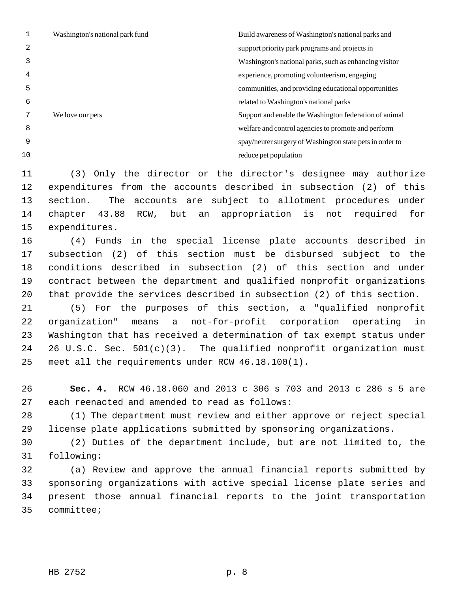| 2<br>support priority park programs and projects in<br>4<br>experience, promoting volunteerism, engaging<br>5<br>communities, and providing educational opportunities<br>6<br>related to Washington's national parks<br>We love our pets<br>8<br>welfare and control agencies to promote and perform<br>9<br>10<br>reduce pet population | Washington's national park fund | Build awareness of Washington's national parks and       |
|------------------------------------------------------------------------------------------------------------------------------------------------------------------------------------------------------------------------------------------------------------------------------------------------------------------------------------------|---------------------------------|----------------------------------------------------------|
|                                                                                                                                                                                                                                                                                                                                          |                                 |                                                          |
|                                                                                                                                                                                                                                                                                                                                          |                                 | Washington's national parks, such as enhancing visitor   |
|                                                                                                                                                                                                                                                                                                                                          |                                 |                                                          |
|                                                                                                                                                                                                                                                                                                                                          |                                 |                                                          |
|                                                                                                                                                                                                                                                                                                                                          |                                 |                                                          |
|                                                                                                                                                                                                                                                                                                                                          |                                 | Support and enable the Washington federation of animal   |
|                                                                                                                                                                                                                                                                                                                                          |                                 |                                                          |
|                                                                                                                                                                                                                                                                                                                                          |                                 | spay/neuter surgery of Washington state pets in order to |
|                                                                                                                                                                                                                                                                                                                                          |                                 |                                                          |

11 (3) Only the director or the director's designee may authorize 12 expenditures from the accounts described in subsection (2) of this 13 section. The accounts are subject to allotment procedures under 14 chapter 43.88 RCW, but an appropriation is not required for 15 expenditures.

16 (4) Funds in the special license plate accounts described in 17 subsection (2) of this section must be disbursed subject to the 18 conditions described in subsection (2) of this section and under 19 contract between the department and qualified nonprofit organizations 20 that provide the services described in subsection (2) of this section.

21 (5) For the purposes of this section, a "qualified nonprofit 22 organization" means a not-for-profit corporation operating in 23 Washington that has received a determination of tax exempt status under 24 26 U.S.C. Sec. 501(c)(3). The qualified nonprofit organization must 25 meet all the requirements under RCW 46.18.100(1).

26 **Sec. 4.** RCW 46.18.060 and 2013 c 306 s 703 and 2013 c 286 s 5 are 27 each reenacted and amended to read as follows:

28 (1) The department must review and either approve or reject special 29 license plate applications submitted by sponsoring organizations.

30 (2) Duties of the department include, but are not limited to, the 31 following:

32 (a) Review and approve the annual financial reports submitted by 33 sponsoring organizations with active special license plate series and 34 present those annual financial reports to the joint transportation 35 committee;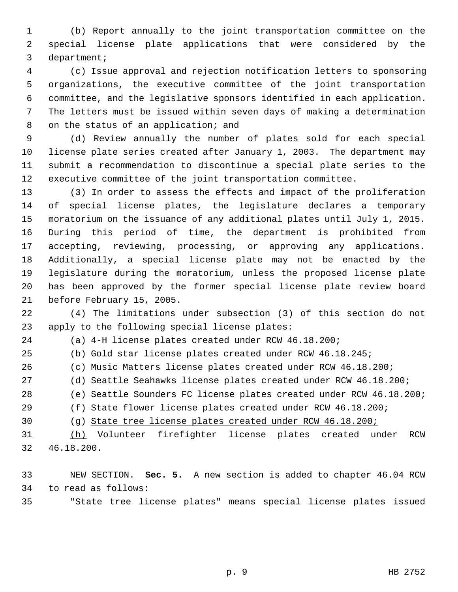1 (b) Report annually to the joint transportation committee on the 2 special license plate applications that were considered by the 3 department;

 4 (c) Issue approval and rejection notification letters to sponsoring 5 organizations, the executive committee of the joint transportation 6 committee, and the legislative sponsors identified in each application. 7 The letters must be issued within seven days of making a determination 8 on the status of an application; and

 9 (d) Review annually the number of plates sold for each special 10 license plate series created after January 1, 2003. The department may 11 submit a recommendation to discontinue a special plate series to the 12 executive committee of the joint transportation committee.

13 (3) In order to assess the effects and impact of the proliferation 14 of special license plates, the legislature declares a temporary 15 moratorium on the issuance of any additional plates until July 1, 2015. 16 During this period of time, the department is prohibited from 17 accepting, reviewing, processing, or approving any applications. 18 Additionally, a special license plate may not be enacted by the 19 legislature during the moratorium, unless the proposed license plate 20 has been approved by the former special license plate review board 21 before February 15, 2005.

22 (4) The limitations under subsection (3) of this section do not 23 apply to the following special license plates:

24 (a) 4-H license plates created under RCW 46.18.200;

25 (b) Gold star license plates created under RCW 46.18.245;

26 (c) Music Matters license plates created under RCW 46.18.200;

27 (d) Seattle Seahawks license plates created under RCW 46.18.200;

28 (e) Seattle Sounders FC license plates created under RCW 46.18.200;

29 (f) State flower license plates created under RCW 46.18.200;

30 (g) State tree license plates created under RCW 46.18.200;

31 (h) Volunteer firefighter license plates created under RCW 32 46.18.200.

33 NEW SECTION. **Sec. 5.** A new section is added to chapter 46.04 RCW 34 to read as follows:

35 "State tree license plates" means special license plates issued